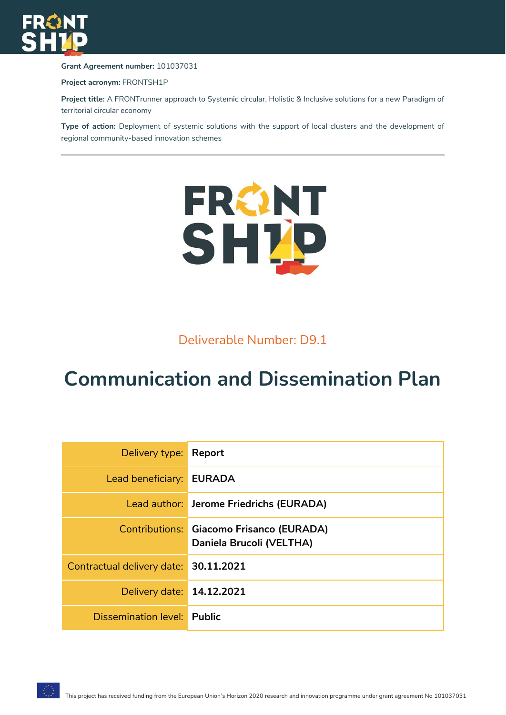

**Grant Agreement number:** 101037031

**Project acronym:** FRONTSH1P

**Project title:** A FRONTrunner approach to Systemic circular, Holistic & Inclusive solutions for a new Paradigm of territorial circular economy

**Type of action:** Deployment of systemic solutions with the support of local clusters and the development of regional community-based innovation schemes



Deliverable Number: D9.1

# **Communication and Dissemination Plan**

| Delivery type: Report                 |                                                                      |
|---------------------------------------|----------------------------------------------------------------------|
| Lead beneficiary: EURADA              |                                                                      |
|                                       | Lead author: Jerome Friedrichs (EURADA)                              |
|                                       | Contributions: Giacomo Frisanco (EURADA)<br>Daniela Brucoli (VELTHA) |
| Contractual delivery date: 30.11.2021 |                                                                      |
| Delivery date: 14.12.2021             |                                                                      |
| Dissemination level: Public           |                                                                      |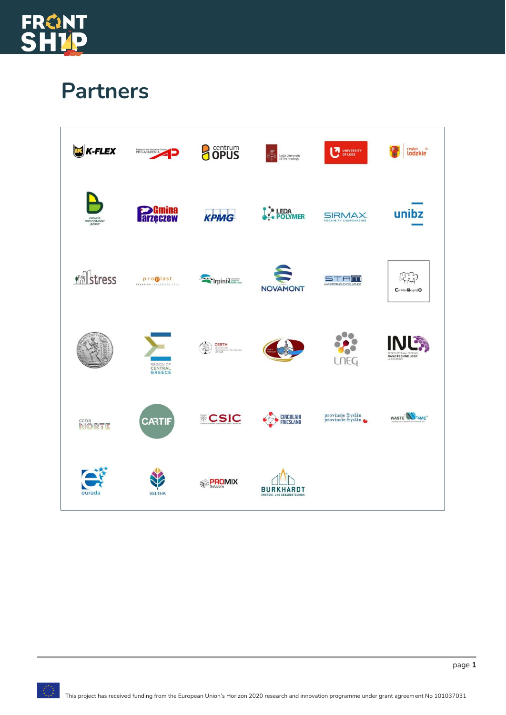

# **Partners**

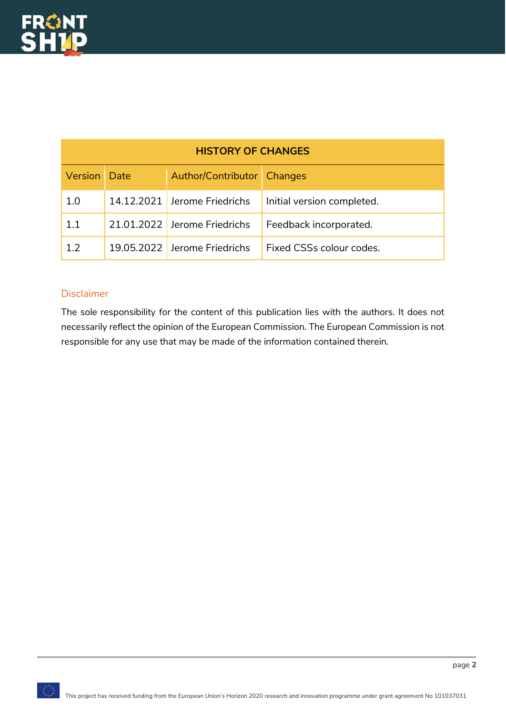| <b>HISTORY OF CHANGES</b> |  |                              |                            |
|---------------------------|--|------------------------------|----------------------------|
| <b>Version</b> Date       |  | Author/Contributor   Changes |                            |
| 1.0                       |  | 14.12.2021 Jerome Friedrichs | Initial version completed. |
| 1.1                       |  | 21.01.2022 Jerome Friedrichs | Feedback incorporated.     |
| 12                        |  | 19.05.2022 Jerome Friedrichs | Fixed CSSs colour codes.   |

#### Disclaimer

The sole responsibility for the content of this publication lies with the authors. It does not necessarily reflect the opinion of the European Commission. The European Commission is not responsible for any use that may be made of the information contained therein.

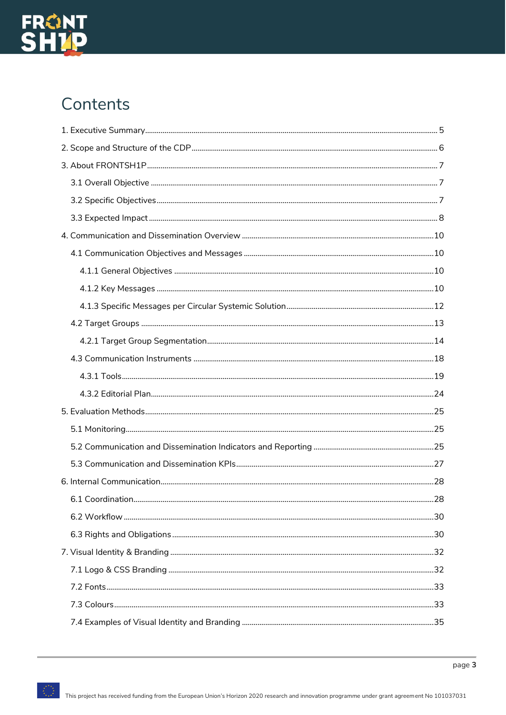

# Contents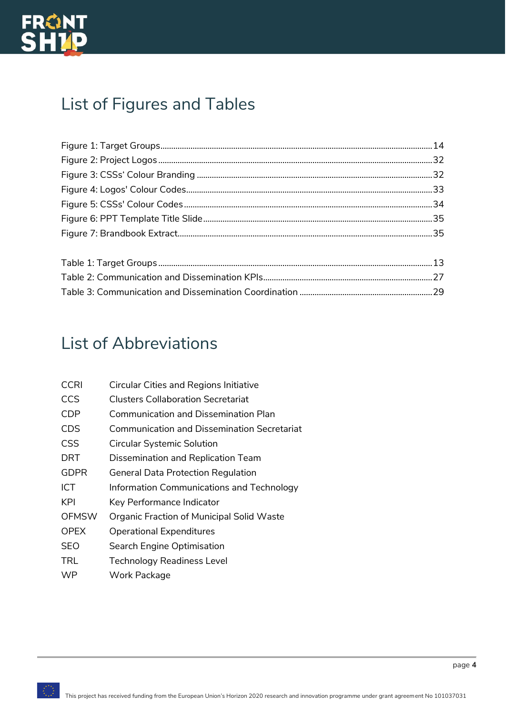

# List of Figures and Tables

# List of Abbreviations

| <b>CCRI</b>  | <b>Circular Cities and Regions Initiative</b>      |
|--------------|----------------------------------------------------|
| <b>CCS</b>   | <b>Clusters Collaboration Secretariat</b>          |
| CDP          | <b>Communication and Dissemination Plan</b>        |
| <b>CDS</b>   | <b>Communication and Dissemination Secretariat</b> |
| <b>CSS</b>   | <b>Circular Systemic Solution</b>                  |
| <b>DRT</b>   | Dissemination and Replication Team                 |
| <b>GDPR</b>  | General Data Protection Regulation                 |
| <b>ICT</b>   | Information Communications and Technology          |
| KPI          | Key Performance Indicator                          |
| <b>OFMSW</b> | Organic Fraction of Municipal Solid Waste          |
| <b>OPEX</b>  | <b>Operational Expenditures</b>                    |
| <b>SEO</b>   | Search Engine Optimisation                         |
| <b>TRL</b>   | <b>Technology Readiness Level</b>                  |
| <b>WP</b>    | Work Package                                       |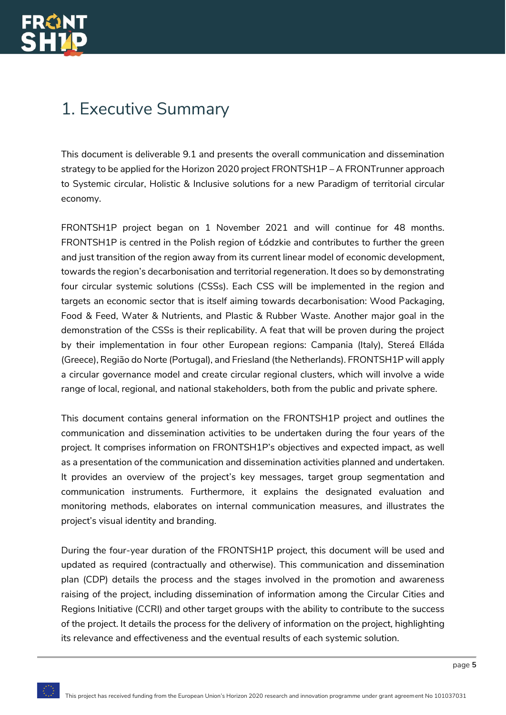# <span id="page-5-0"></span>1. Executive Summary

This document is deliverable 9.1 and presents the overall communication and dissemination strategy to be applied for the Horizon 2020 project FRONTSH1P – A FRONTrunner approach to Systemic circular, Holistic & Inclusive solutions for a new Paradigm of territorial circular economy.

FRONTSH1P project began on 1 November 2021 and will continue for 48 months. FRONTSH1P is centred in the Polish region of Łódzkie and contributes to further the green and just transition of the region away from its current linear model of economic development, towards the region's decarbonisation and territorial regeneration. It does so by demonstrating four circular systemic solutions (CSSs). Each CSS will be implemented in the region and targets an economic sector that is itself aiming towards decarbonisation: Wood Packaging, Food & Feed, Water & Nutrients, and Plastic & Rubber Waste. Another major goal in the demonstration of the CSSs is their replicability. A feat that will be proven during the project by their implementation in four other European regions: Campania (Italy), Stereá Elláda (Greece), Região do Norte (Portugal), and Friesland (the Netherlands). FRONTSH1P will apply a circular governance model and create circular regional clusters, which will involve a wide range of local, regional, and national stakeholders, both from the public and private sphere.

This document contains general information on the FRONTSH1P project and outlines the communication and dissemination activities to be undertaken during the four years of the project. It comprises information on FRONTSH1P's objectives and expected impact, as well as a presentation of the communication and dissemination activities planned and undertaken. It provides an overview of the project's key messages, target group segmentation and communication instruments. Furthermore, it explains the designated evaluation and monitoring methods, elaborates on internal communication measures, and illustrates the project's visual identity and branding.

During the four-year duration of the FRONTSH1P project, this document will be used and updated as required (contractually and otherwise). This communication and dissemination plan (CDP) details the process and the stages involved in the promotion and awareness raising of the project, including dissemination of information among the Circular Cities and Regions Initiative (CCRI) and other target groups with the ability to contribute to the success of the project. It details the process for the delivery of information on the project, highlighting its relevance and effectiveness and the eventual results of each systemic solution.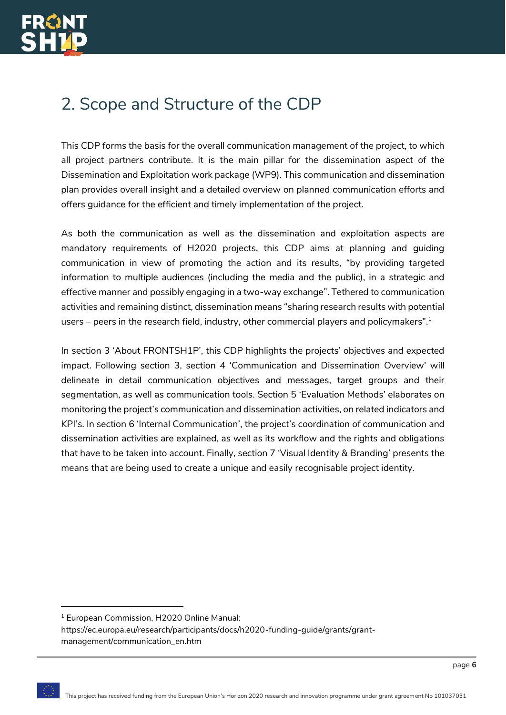# <span id="page-6-0"></span>2. Scope and Structure of the CDP

This CDP forms the basis for the overall communication management of the project, to which all project partners contribute. It is the main pillar for the dissemination aspect of the Dissemination and Exploitation work package (WP9). This communication and dissemination plan provides overall insight and a detailed overview on planned communication efforts and offers guidance for the efficient and timely implementation of the project.

As both the communication as well as the dissemination and exploitation aspects are mandatory requirements of H2020 projects, this CDP aims at planning and guiding communication in view of promoting the action and its results, "by providing targeted information to multiple audiences (including the media and the public), in a strategic and effective manner and possibly engaging in a two-way exchange". Tethered to communication activities and remaining distinct, dissemination means "sharing research results with potential users – peers in the research field, industry, other commercial players and policymakers".<sup>1</sup>

In section 3 'About FRONTSH1P', this CDP highlights the projects' objectives and expected impact. Following section 3, section 4 'Communication and Dissemination Overview' will delineate in detail communication objectives and messages, target groups and their segmentation, as well as communication tools. Section 5 'Evaluation Methods' elaborates on monitoring the project's communication and dissemination activities, on related indicators and KPI's. In section 6 'Internal Communication', the project's coordination of communication and dissemination activities are explained, as well as its workflow and the rights and obligations that have to be taken into account. Finally, section 7 'Visual Identity & Branding' presents the means that are being used to create a unique and easily recognisable project identity.

<sup>&</sup>lt;sup>1</sup> European Commission, H2020 Online Manual:

https://ec.europa.eu/research/participants/docs/h2020-funding-guide/grants/grantmanagement/communication\_en.htm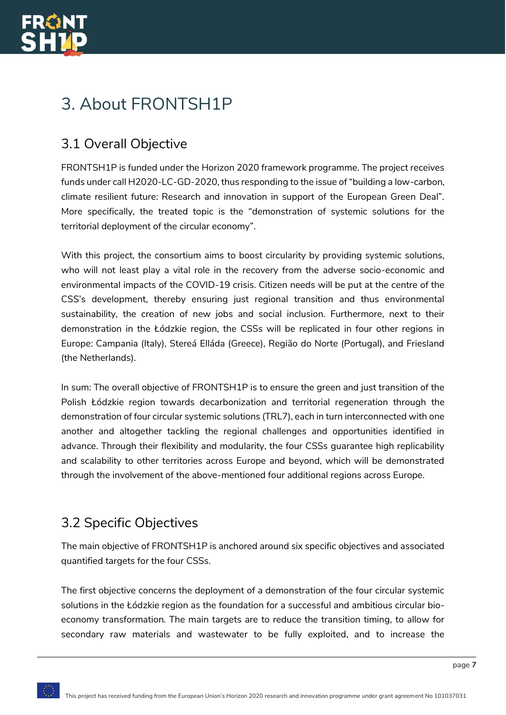

# <span id="page-7-0"></span>3. About FRONTSH1P

### <span id="page-7-1"></span>3.1 Overall Objective

FRONTSH1P is funded under the Horizon 2020 framework programme. The project receives funds under call H2020-LC-GD-2020, thus responding to the issue of "building a low-carbon, climate resilient future: Research and innovation in support of the European Green Deal". More specifically, the treated topic is the "demonstration of systemic solutions for the territorial deployment of the circular economy".

With this project, the consortium aims to boost circularity by providing systemic solutions, who will not least play a vital role in the recovery from the adverse socio-economic and environmental impacts of the COVID-19 crisis. Citizen needs will be put at the centre of the CSS's development, thereby ensuring just regional transition and thus environmental sustainability, the creation of new jobs and social inclusion. Furthermore, next to their demonstration in the Łódzkie region, the CSSs will be replicated in four other regions in Europe: Campania (Italy), Stereá Elláda (Greece), Região do Norte (Portugal), and Friesland (the Netherlands).

In sum: The overall objective of FRONTSH1P is to ensure the green and just transition of the Polish Łódzkie region towards decarbonization and territorial regeneration through the demonstration of four circular systemic solutions (TRL7), each in turn interconnected with one another and altogether tackling the regional challenges and opportunities identified in advance. Through their flexibility and modularity, the four CSSs guarantee high replicability and scalability to other territories across Europe and beyond, which will be demonstrated through the involvement of the above-mentioned four additional regions across Europe.

### <span id="page-7-2"></span>3.2 Specific Objectives

The main objective of FRONTSH1P is anchored around six specific objectives and associated quantified targets for the four CSSs.

The first objective concerns the deployment of a demonstration of the four circular systemic solutions in the Łódzkie region as the foundation for a successful and ambitious circular bioeconomy transformation. The main targets are to reduce the transition timing, to allow for secondary raw materials and wastewater to be fully exploited, and to increase the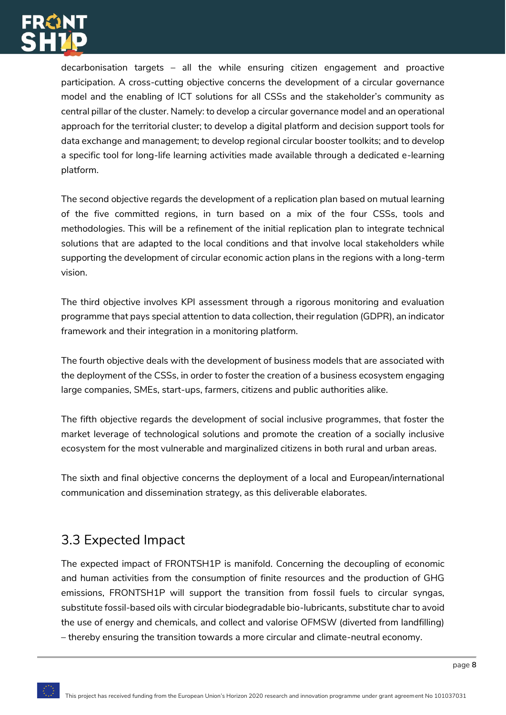

decarbonisation targets – all the while ensuring citizen engagement and proactive participation. A cross-cutting objective concerns the development of a circular governance model and the enabling of ICT solutions for all CSSs and the stakeholder's community as central pillar of the cluster. Namely: to develop a circular governance model and an operational approach for the territorial cluster; to develop a digital platform and decision support tools for data exchange and management; to develop regional circular booster toolkits; and to develop a specific tool for long-life learning activities made available through a dedicated e-learning platform.

The second objective regards the development of a replication plan based on mutual learning of the five committed regions, in turn based on a mix of the four CSSs, tools and methodologies. This will be a refinement of the initial replication plan to integrate technical solutions that are adapted to the local conditions and that involve local stakeholders while supporting the development of circular economic action plans in the regions with a long-term vision.

The third objective involves KPI assessment through a rigorous monitoring and evaluation programme that pays special attention to data collection, their regulation (GDPR), an indicator framework and their integration in a monitoring platform.

The fourth objective deals with the development of business models that are associated with the deployment of the CSSs, in order to foster the creation of a business ecosystem engaging large companies, SMEs, start-ups, farmers, citizens and public authorities alike.

The fifth objective regards the development of social inclusive programmes, that foster the market leverage of technological solutions and promote the creation of a socially inclusive ecosystem for the most vulnerable and marginalized citizens in both rural and urban areas.

The sixth and final objective concerns the deployment of a local and European/international communication and dissemination strategy, as this deliverable elaborates.

## <span id="page-8-0"></span>3.3 Expected Impact

The expected impact of FRONTSH1P is manifold. Concerning the decoupling of economic and human activities from the consumption of finite resources and the production of GHG emissions, FRONTSH1P will support the transition from fossil fuels to circular syngas, substitute fossil-based oils with circular biodegradable bio-lubricants, substitute char to avoid the use of energy and chemicals, and collect and valorise OFMSW (diverted from landfilling) – thereby ensuring the transition towards a more circular and climate-neutral economy.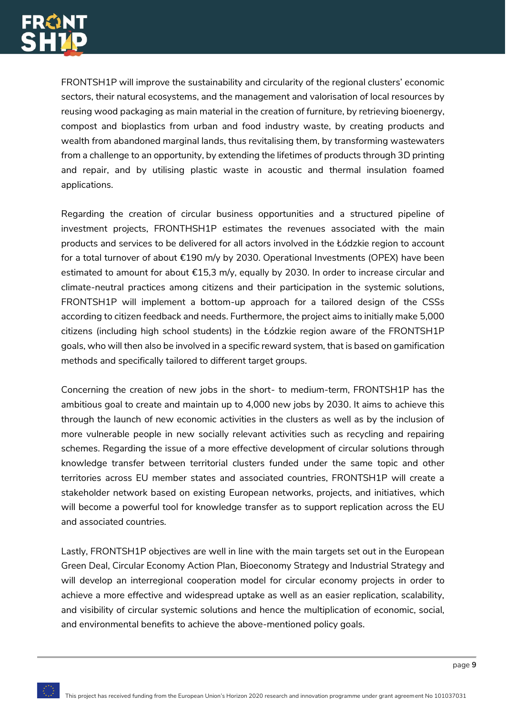

FRONTSH1P will improve the sustainability and circularity of the regional clusters' economic sectors, their natural ecosystems, and the management and valorisation of local resources by reusing wood packaging as main material in the creation of furniture, by retrieving bioenergy, compost and bioplastics from urban and food industry waste, by creating products and wealth from abandoned marginal lands, thus revitalising them, by transforming wastewaters from a challenge to an opportunity, by extending the lifetimes of products through 3D printing and repair, and by utilising plastic waste in acoustic and thermal insulation foamed applications.

Regarding the creation of circular business opportunities and a structured pipeline of investment projects, FRONTHSH1P estimates the revenues associated with the main products and services to be delivered for all actors involved in the Łódzkie region to account for a total turnover of about €190 m/y by 2030. Operational Investments (OPEX) have been estimated to amount for about  $\epsilon$ 15,3 m/y, equally by 2030. In order to increase circular and climate-neutral practices among citizens and their participation in the systemic solutions, FRONTSH1P will implement a bottom-up approach for a tailored design of the CSSs according to citizen feedback and needs. Furthermore, the project aims to initially make 5,000 citizens (including high school students) in the Łódzkie region aware of the FRONTSH1P goals, who will then also be involved in a specific reward system, that is based on gamification methods and specifically tailored to different target groups.

Concerning the creation of new jobs in the short- to medium-term, FRONTSH1P has the ambitious goal to create and maintain up to 4,000 new jobs by 2030. It aims to achieve this through the launch of new economic activities in the clusters as well as by the inclusion of more vulnerable people in new socially relevant activities such as recycling and repairing schemes. Regarding the issue of a more effective development of circular solutions through knowledge transfer between territorial clusters funded under the same topic and other territories across EU member states and associated countries, FRONTSH1P will create a stakeholder network based on existing European networks, projects, and initiatives, which will become a powerful tool for knowledge transfer as to support replication across the EU and associated countries.

Lastly, FRONTSH1P objectives are well in line with the main targets set out in the European Green Deal, Circular Economy Action Plan, Bioeconomy Strategy and Industrial Strategy and will develop an interregional cooperation model for circular economy projects in order to achieve a more effective and widespread uptake as well as an easier replication, scalability, and visibility of circular systemic solutions and hence the multiplication of economic, social, and environmental benefits to achieve the above-mentioned policy goals.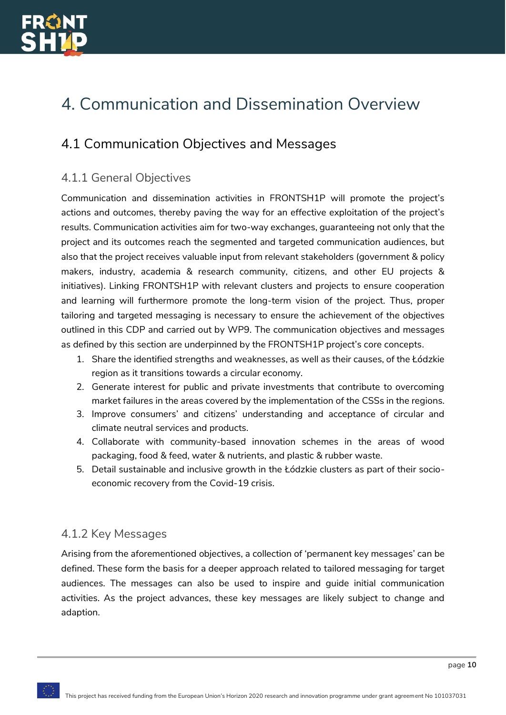

# <span id="page-10-0"></span>4. Communication and Dissemination Overview

### <span id="page-10-1"></span>4.1 Communication Objectives and Messages

### <span id="page-10-2"></span>4.1.1 General Objectives

Communication and dissemination activities in FRONTSH1P will promote the project's actions and outcomes, thereby paving the way for an effective exploitation of the project's results. Communication activities aim for two-way exchanges, guaranteeing not only that the project and its outcomes reach the segmented and targeted communication audiences, but also that the project receives valuable input from relevant stakeholders (government & policy makers, industry, academia & research community, citizens, and other EU projects & initiatives). Linking FRONTSH1P with relevant clusters and projects to ensure cooperation and learning will furthermore promote the long-term vision of the project. Thus, proper tailoring and targeted messaging is necessary to ensure the achievement of the objectives outlined in this CDP and carried out by WP9. The communication objectives and messages as defined by this section are underpinned by the FRONTSH1P project's core concepts.

- 1. Share the identified strengths and weaknesses, as well as their causes, of the Łódzkie region as it transitions towards a circular economy.
- 2. Generate interest for public and private investments that contribute to overcoming market failures in the areas covered by the implementation of the CSSs in the regions.
- 3. Improve consumers' and citizens' understanding and acceptance of circular and climate neutral services and products.
- 4. Collaborate with community-based innovation schemes in the areas of wood packaging, food & feed, water & nutrients, and plastic & rubber waste.
- 5. Detail sustainable and inclusive growth in the Łódzkie clusters as part of their socioeconomic recovery from the Covid-19 crisis.

#### <span id="page-10-3"></span>4.1.2 Key Messages

Arising from the aforementioned objectives, a collection of 'permanent key messages' can be defined. These form the basis for a deeper approach related to tailored messaging for target audiences. The messages can also be used to inspire and guide initial communication activities. As the project advances, these key messages are likely subject to change and adaption.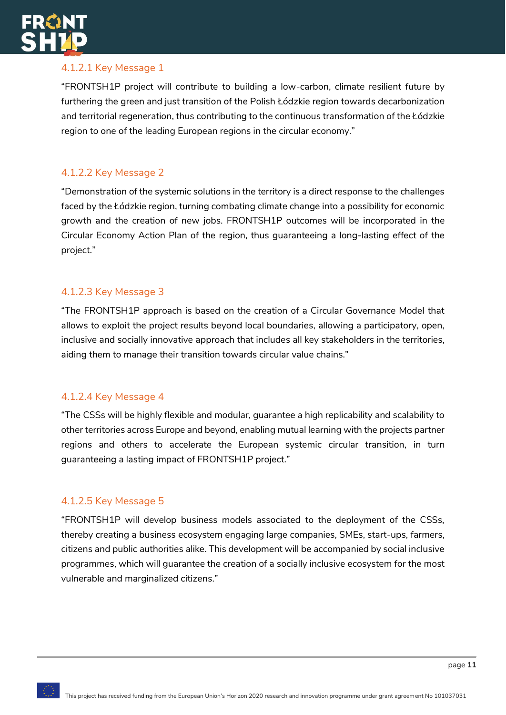

### 4.1.2.1 Key Message 1

"FRONTSH1P project will contribute to building a low-carbon, climate resilient future by furthering the green and just transition of the Polish Łódzkie region towards decarbonization and territorial regeneration, thus contributing to the continuous transformation of the Łódzkie region to one of the leading European regions in the circular economy."

#### 4.1.2.2 Key Message 2

"Demonstration of the systemic solutions in the territory is a direct response to the challenges faced by the Łódzkie region, turning combating climate change into a possibility for economic growth and the creation of new jobs. FRONTSH1P outcomes will be incorporated in the Circular Economy Action Plan of the region, thus guaranteeing a long-lasting effect of the project."

#### 4.1.2.3 Key Message 3

"The FRONTSH1P approach is based on the creation of a Circular Governance Model that allows to exploit the project results beyond local boundaries, allowing a participatory, open, inclusive and socially innovative approach that includes all key stakeholders in the territories, aiding them to manage their transition towards circular value chains."

#### 4.1.2.4 Key Message 4

"The CSSs will be highly flexible and modular, guarantee a high replicability and scalability to other territories across Europe and beyond, enabling mutual learning with the projects partner regions and others to accelerate the European systemic circular transition, in turn guaranteeing a lasting impact of FRONTSH1P project."

#### 4.1.2.5 Key Message 5

"FRONTSH1P will develop business models associated to the deployment of the CSSs, thereby creating a business ecosystem engaging large companies, SMEs, start-ups, farmers, citizens and public authorities alike. This development will be accompanied by social inclusive programmes, which will guarantee the creation of a socially inclusive ecosystem for the most vulnerable and marginalized citizens."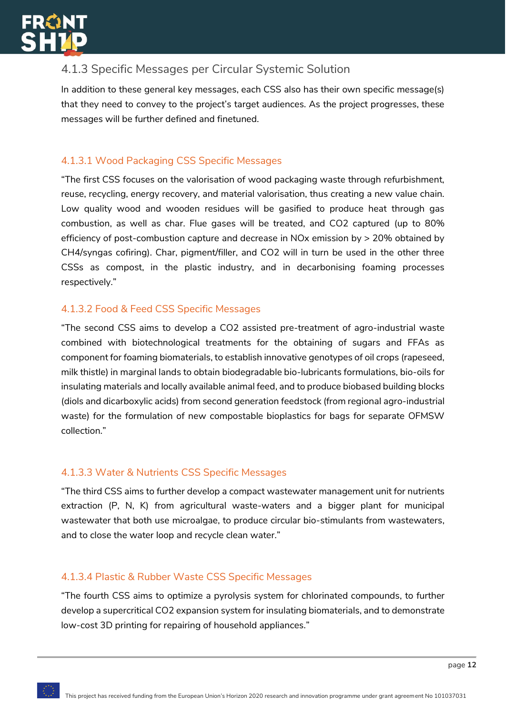

### <span id="page-12-0"></span>4.1.3 Specific Messages per Circular Systemic Solution

In addition to these general key messages, each CSS also has their own specific message(s) that they need to convey to the project's target audiences. As the project progresses, these messages will be further defined and finetuned.

### 4.1.3.1 Wood Packaging CSS Specific Messages

"The first CSS focuses on the valorisation of wood packaging waste through refurbishment, reuse, recycling, energy recovery, and material valorisation, thus creating a new value chain. Low quality wood and wooden residues will be gasified to produce heat through gas combustion, as well as char. Flue gases will be treated, and CO2 captured (up to 80% efficiency of post-combustion capture and decrease in NOx emission by > 20% obtained by CH4/syngas cofiring). Char, pigment/filler, and CO2 will in turn be used in the other three CSSs as compost, in the plastic industry, and in decarbonising foaming processes respectively."

#### 4.1.3.2 Food & Feed CSS Specific Messages

"The second CSS aims to develop a CO2 assisted pre-treatment of agro-industrial waste combined with biotechnological treatments for the obtaining of sugars and FFAs as component for foaming biomaterials, to establish innovative genotypes of oil crops (rapeseed, milk thistle) in marginal lands to obtain biodegradable bio-lubricants formulations, bio-oils for insulating materials and locally available animal feed, and to produce biobased building blocks (diols and dicarboxylic acids) from second generation feedstock (from regional agro-industrial waste) for the formulation of new compostable bioplastics for bags for separate OFMSW collection."

#### 4.1.3.3 Water & Nutrients CSS Specific Messages

"The third CSS aims to further develop a compact wastewater management unit for nutrients extraction (P, N, K) from agricultural waste-waters and a bigger plant for municipal wastewater that both use microalgae, to produce circular bio-stimulants from wastewaters, and to close the water loop and recycle clean water."

#### 4.1.3.4 Plastic & Rubber Waste CSS Specific Messages

"The fourth CSS aims to optimize a pyrolysis system for chlorinated compounds, to further develop a supercritical CO2 expansion system for insulating biomaterials, and to demonstrate low-cost 3D printing for repairing of household appliances."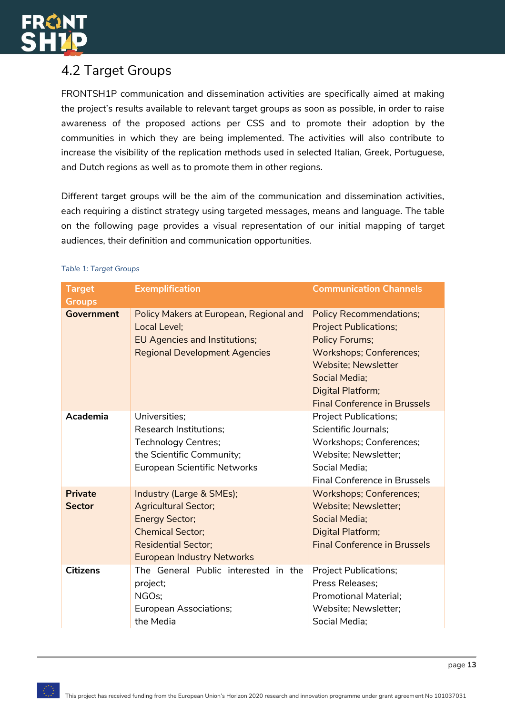

### <span id="page-13-0"></span>4.2 Target Groups

FRONTSH1P communication and dissemination activities are specifically aimed at making the project's results available to relevant target groups as soon as possible, in order to raise awareness of the proposed actions per CSS and to promote their adoption by the communities in which they are being implemented. The activities will also contribute to increase the visibility of the replication methods used in selected Italian, Greek, Portuguese, and Dutch regions as well as to promote them in other regions.

Different target groups will be the aim of the communication and dissemination activities, each requiring a distinct strategy using targeted messages, means and language. The table on the following page provides a visual representation of our initial mapping of target audiences, their definition and communication opportunities.

| <b>Target</b><br><b>Groups</b>  | <b>Exemplification</b>                                                                                                                                                         | <b>Communication Channels</b>                                                                                                                                                                                                        |
|---------------------------------|--------------------------------------------------------------------------------------------------------------------------------------------------------------------------------|--------------------------------------------------------------------------------------------------------------------------------------------------------------------------------------------------------------------------------------|
| <b>Government</b>               | Policy Makers at European, Regional and<br>Local Level;<br>EU Agencies and Institutions;<br><b>Regional Development Agencies</b>                                               | <b>Policy Recommendations;</b><br><b>Project Publications;</b><br><b>Policy Forums;</b><br><b>Workshops; Conferences;</b><br><b>Website; Newsletter</b><br>Social Media:<br>Digital Platform;<br><b>Final Conference in Brussels</b> |
| Academia                        | Universities;<br><b>Research Institutions:</b><br><b>Technology Centres;</b><br>the Scientific Community;<br>European Scientific Networks                                      | <b>Project Publications;</b><br>Scientific Journals;<br>Workshops; Conferences;<br>Website; Newsletter;<br>Social Media;<br><b>Final Conference in Brussels</b>                                                                      |
| <b>Private</b><br><b>Sector</b> | Industry (Large & SMEs);<br><b>Agricultural Sector;</b><br><b>Energy Sector;</b><br><b>Chemical Sector;</b><br><b>Residential Sector:</b><br><b>European Industry Networks</b> | <b>Workshops; Conferences;</b><br>Website; Newsletter;<br>Social Media:<br>Digital Platform;<br><b>Final Conference in Brussels</b>                                                                                                  |
| <b>Citizens</b>                 | The General Public interested in the<br>project;<br>NGOs;<br>European Associations;<br>the Media                                                                               | <b>Project Publications;</b><br>Press Releases;<br><b>Promotional Material:</b><br>Website; Newsletter;<br>Social Media;                                                                                                             |

#### <span id="page-13-1"></span>*Table 1: Target Groups*

page **13**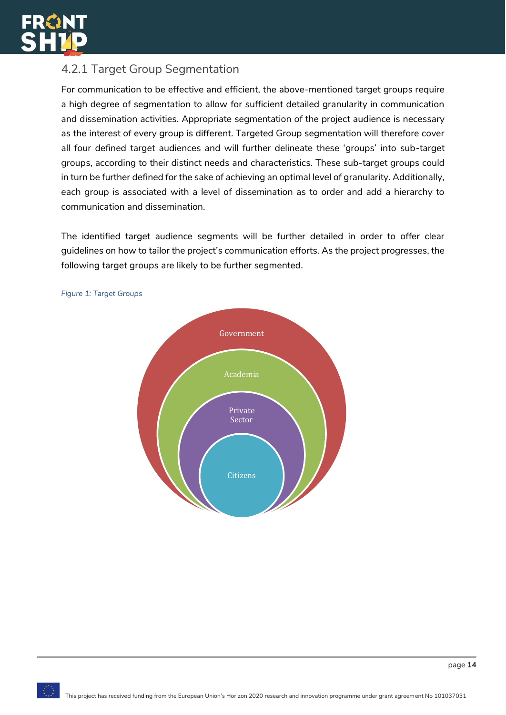

### <span id="page-14-0"></span>4.2.1 Target Group Segmentation

For communication to be effective and efficient, the above-mentioned target groups require a high degree of segmentation to allow for sufficient detailed granularity in communication and dissemination activities. Appropriate segmentation of the project audience is necessary as the interest of every group is different. Targeted Group segmentation will therefore cover all four defined target audiences and will further delineate these 'groups' into sub-target groups, according to their distinct needs and characteristics. These sub-target groups could in turn be further defined for the sake of achieving an optimal level of granularity. Additionally, each group is associated with a level of dissemination as to order and add a hierarchy to communication and dissemination.

The identified target audience segments will be further detailed in order to offer clear guidelines on how to tailor the project's communication efforts. As the project progresses, the following target groups are likely to be further segmented.



#### <span id="page-14-1"></span>*Figure 1: Target Groups*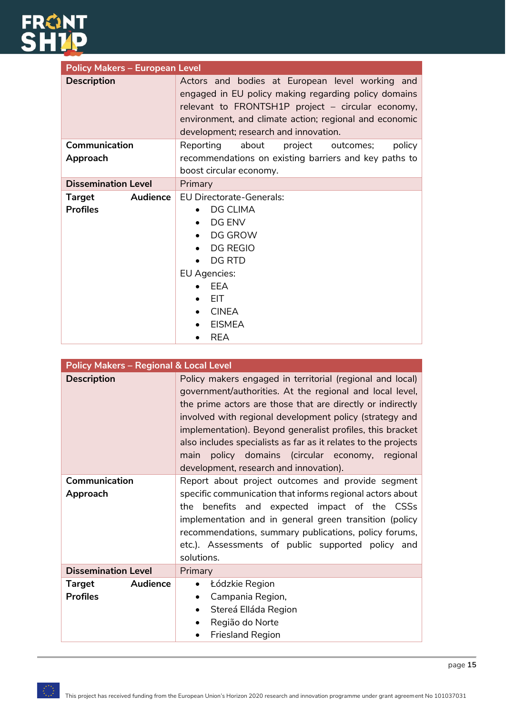

| <b>Policy Makers - European Level</b> |                                                                                                                                                                                                                                                                 |  |
|---------------------------------------|-----------------------------------------------------------------------------------------------------------------------------------------------------------------------------------------------------------------------------------------------------------------|--|
| <b>Description</b>                    | Actors and bodies at European level working and<br>engaged in EU policy making regarding policy domains<br>relevant to FRONTSH1P project - circular economy,<br>environment, and climate action; regional and economic<br>development; research and innovation. |  |
| Communication                         | about<br>Reporting<br>project<br>outcomes;<br>policy                                                                                                                                                                                                            |  |
| Approach                              | recommendations on existing barriers and key paths to                                                                                                                                                                                                           |  |
|                                       | boost circular economy.                                                                                                                                                                                                                                         |  |
| <b>Dissemination Level</b>            | Primary                                                                                                                                                                                                                                                         |  |
| Audience<br>Target<br><b>Profiles</b> | <b>EU Directorate-Generals:</b><br>DG CLIMA<br>DG ENV<br>DG GROW<br><b>DG REGIO</b><br>DG RTD<br>EU Agencies:<br>FFA<br><b>EIT</b><br><b>CINEA</b><br><b>EISMEA</b><br><b>REA</b>                                                                               |  |

| <b>Policy Makers - Regional &amp; Local Level</b> |                                                                                                                                                                                                                                                                                                                                                                                                                                                                               |  |
|---------------------------------------------------|-------------------------------------------------------------------------------------------------------------------------------------------------------------------------------------------------------------------------------------------------------------------------------------------------------------------------------------------------------------------------------------------------------------------------------------------------------------------------------|--|
| <b>Description</b>                                | Policy makers engaged in territorial (regional and local)<br>government/authorities. At the regional and local level,<br>the prime actors are those that are directly or indirectly<br>involved with regional development policy (strategy and<br>implementation). Beyond generalist profiles, this bracket<br>also includes specialists as far as it relates to the projects<br>policy domains (circular economy, regional<br>main<br>development, research and innovation). |  |
| Communication<br>Approach                         | Report about project outcomes and provide segment<br>specific communication that informs regional actors about<br>the benefits and expected impact of the CSSs<br>implementation and in general green transition (policy<br>recommendations, summary publications, policy forums,<br>etc.). Assessments of public supported policy and<br>solutions.                                                                                                                          |  |
| <b>Dissemination Level</b>                        | Primary                                                                                                                                                                                                                                                                                                                                                                                                                                                                       |  |
| Audience<br>Target<br><b>Profiles</b>             | Łódzkie Region<br>$\bullet$<br>Campania Region,<br>Stereá Elláda Region<br>$\bullet$<br>Região do Norte<br><b>Friesland Region</b>                                                                                                                                                                                                                                                                                                                                            |  |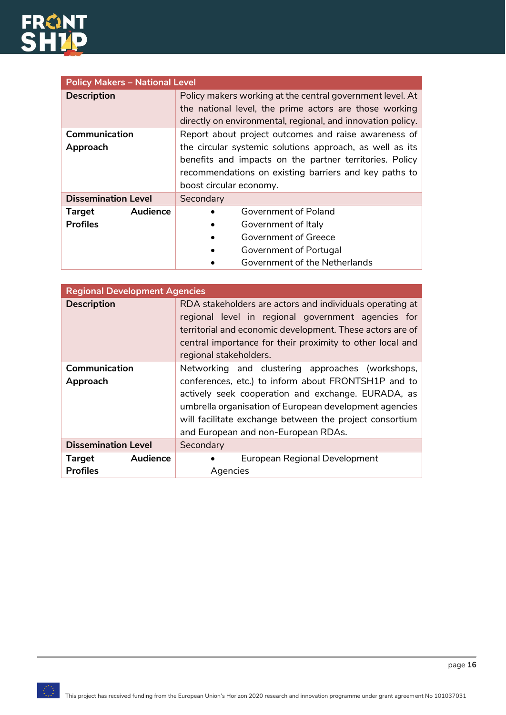

| <b>Policy Makers - National Level</b> |                                                                                                                                                                                    |  |
|---------------------------------------|------------------------------------------------------------------------------------------------------------------------------------------------------------------------------------|--|
| <b>Description</b>                    | Policy makers working at the central government level. At<br>the national level, the prime actors are those working<br>directly on environmental, regional, and innovation policy. |  |
| Communication                         | Report about project outcomes and raise awareness of                                                                                                                               |  |
| Approach                              | the circular systemic solutions approach, as well as its                                                                                                                           |  |
|                                       | benefits and impacts on the partner territories. Policy                                                                                                                            |  |
|                                       | recommendations on existing barriers and key paths to                                                                                                                              |  |
|                                       | boost circular economy.                                                                                                                                                            |  |
| <b>Dissemination Level</b>            | Secondary                                                                                                                                                                          |  |
| Audience<br><b>Target</b>             | Government of Poland                                                                                                                                                               |  |
| <b>Profiles</b>                       | Government of Italy                                                                                                                                                                |  |
|                                       | Government of Greece                                                                                                                                                               |  |
|                                       | Government of Portugal                                                                                                                                                             |  |
|                                       | Government of the Netherlands                                                                                                                                                      |  |

| <b>Regional Development Agencies</b> |                                                                                                                                                                                                                                                                    |  |
|--------------------------------------|--------------------------------------------------------------------------------------------------------------------------------------------------------------------------------------------------------------------------------------------------------------------|--|
| <b>Description</b>                   | RDA stakeholders are actors and individuals operating at<br>regional level in regional government agencies for<br>territorial and economic development. These actors are of<br>central importance for their proximity to other local and<br>regional stakeholders. |  |
| Communication                        | Networking and clustering approaches (workshops,                                                                                                                                                                                                                   |  |
| Approach                             | conferences, etc.) to inform about FRONTSH1P and to<br>actively seek cooperation and exchange. EURADA, as                                                                                                                                                          |  |
|                                      | umbrella organisation of European development agencies                                                                                                                                                                                                             |  |
|                                      | will facilitate exchange between the project consortium                                                                                                                                                                                                            |  |
|                                      | and European and non-European RDAs.                                                                                                                                                                                                                                |  |
| <b>Dissemination Level</b>           | Secondary                                                                                                                                                                                                                                                          |  |
| Audience<br><b>Target</b>            | European Regional Development                                                                                                                                                                                                                                      |  |
| <b>Profiles</b>                      | Agencies                                                                                                                                                                                                                                                           |  |

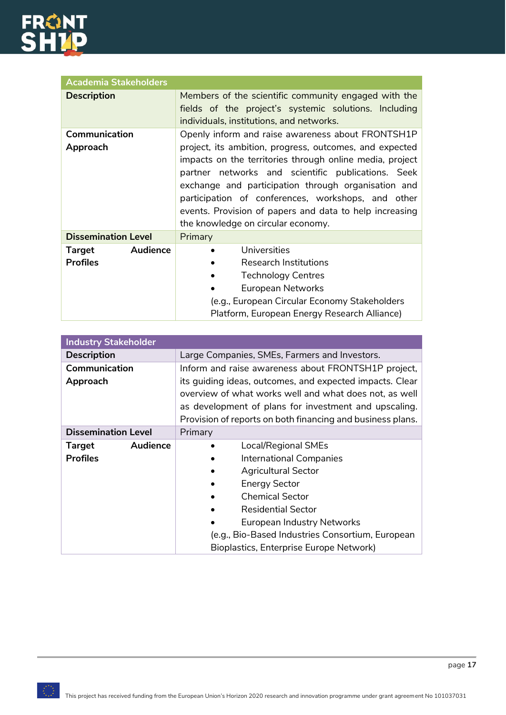

| <b>Academia Stakeholders</b>          |                                                                                                                                                                                                                                                                                                                                                                                                                                              |
|---------------------------------------|----------------------------------------------------------------------------------------------------------------------------------------------------------------------------------------------------------------------------------------------------------------------------------------------------------------------------------------------------------------------------------------------------------------------------------------------|
| <b>Description</b>                    | Members of the scientific community engaged with the<br>fields of the project's systemic solutions. Including<br>individuals, institutions, and networks.                                                                                                                                                                                                                                                                                    |
| Communication<br>Approach             | Openly inform and raise awareness about FRONTSH1P<br>project, its ambition, progress, outcomes, and expected<br>impacts on the territories through online media, project<br>partner networks and scientific publications. Seek<br>exchange and participation through organisation and<br>participation of conferences, workshops, and other<br>events. Provision of papers and data to help increasing<br>the knowledge on circular economy. |
| <b>Dissemination Level</b>            | Primary                                                                                                                                                                                                                                                                                                                                                                                                                                      |
| Audience<br>Target<br><b>Profiles</b> | Universities<br><b>Research Institutions</b><br><b>Technology Centres</b><br>European Networks<br>(e.g., European Circular Economy Stakeholders<br>Platform, European Energy Research Alliance)                                                                                                                                                                                                                                              |

| <b>Industry Stakeholder</b> |                                                                                                                                                                                                                                           |  |  |
|-----------------------------|-------------------------------------------------------------------------------------------------------------------------------------------------------------------------------------------------------------------------------------------|--|--|
| <b>Description</b>          | Large Companies, SMEs, Farmers and Investors.                                                                                                                                                                                             |  |  |
| Communication               | Inform and raise awareness about FRONTSH1P project,                                                                                                                                                                                       |  |  |
| Approach                    | its guiding ideas, outcomes, and expected impacts. Clear<br>overview of what works well and what does not, as well<br>as development of plans for investment and upscaling.<br>Provision of reports on both financing and business plans. |  |  |
| <b>Dissemination Level</b>  | Primary                                                                                                                                                                                                                                   |  |  |
| <b>Audience</b><br>Target   | <b>Local/Regional SMEs</b>                                                                                                                                                                                                                |  |  |
| <b>Profiles</b>             | <b>International Companies</b>                                                                                                                                                                                                            |  |  |
|                             | <b>Agricultural Sector</b>                                                                                                                                                                                                                |  |  |
|                             | <b>Energy Sector</b>                                                                                                                                                                                                                      |  |  |
|                             | <b>Chemical Sector</b>                                                                                                                                                                                                                    |  |  |
|                             | <b>Residential Sector</b>                                                                                                                                                                                                                 |  |  |
|                             | <b>European Industry Networks</b>                                                                                                                                                                                                         |  |  |
|                             | (e.g., Bio-Based Industries Consortium, European                                                                                                                                                                                          |  |  |
|                             | Bioplastics, Enterprise Europe Network)                                                                                                                                                                                                   |  |  |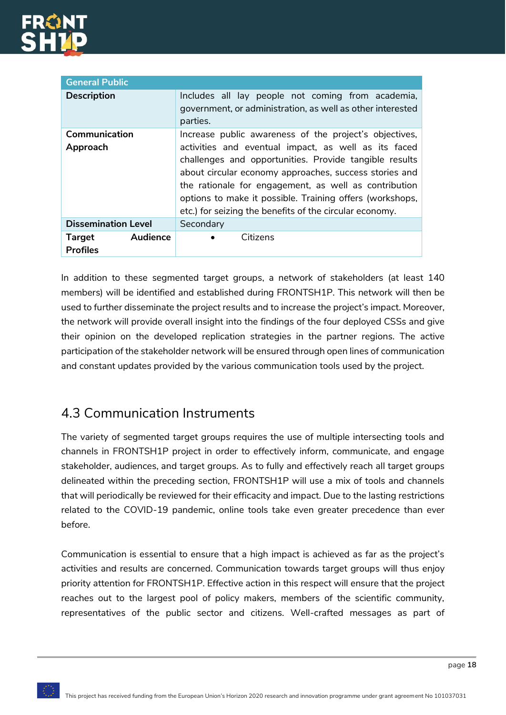

| <b>General Public</b>                        |                                                                                                                                                                                                                                                                                                                                                          |  |  |  |
|----------------------------------------------|----------------------------------------------------------------------------------------------------------------------------------------------------------------------------------------------------------------------------------------------------------------------------------------------------------------------------------------------------------|--|--|--|
| <b>Description</b>                           | Includes all lay people not coming from academia,<br>government, or administration, as well as other interested<br>parties.                                                                                                                                                                                                                              |  |  |  |
| Communication                                | Increase public awareness of the project's objectives,                                                                                                                                                                                                                                                                                                   |  |  |  |
| Approach                                     | activities and eventual impact, as well as its faced<br>challenges and opportunities. Provide tangible results<br>about circular economy approaches, success stories and<br>the rationale for engagement, as well as contribution<br>options to make it possible. Training offers (workshops,<br>etc.) for seizing the benefits of the circular economy. |  |  |  |
| <b>Dissemination Level</b>                   | Secondary                                                                                                                                                                                                                                                                                                                                                |  |  |  |
| Audience<br><b>Target</b><br><b>Profiles</b> | Citizens                                                                                                                                                                                                                                                                                                                                                 |  |  |  |

In addition to these segmented target groups, a network of stakeholders (at least 140 members) will be identified and established during FRONTSH1P. This network will then be used to further disseminate the project results and to increase the project's impact. Moreover, the network will provide overall insight into the findings of the four deployed CSSs and give their opinion on the developed replication strategies in the partner regions. The active participation of the stakeholder network will be ensured through open lines of communication and constant updates provided by the various communication tools used by the project.

### <span id="page-18-0"></span>4.3 Communication Instruments

The variety of segmented target groups requires the use of multiple intersecting tools and channels in FRONTSH1P project in order to effectively inform, communicate, and engage stakeholder, audiences, and target groups. As to fully and effectively reach all target groups delineated within the preceding section, FRONTSH1P will use a mix of tools and channels that will periodically be reviewed for their efficacity and impact. Due to the lasting restrictions related to the COVID-19 pandemic, online tools take even greater precedence than ever before.

Communication is essential to ensure that a high impact is achieved as far as the project's activities and results are concerned. Communication towards target groups will thus enjoy priority attention for FRONTSH1P. Effective action in this respect will ensure that the project reaches out to the largest pool of policy makers, members of the scientific community, representatives of the public sector and citizens. Well-crafted messages as part of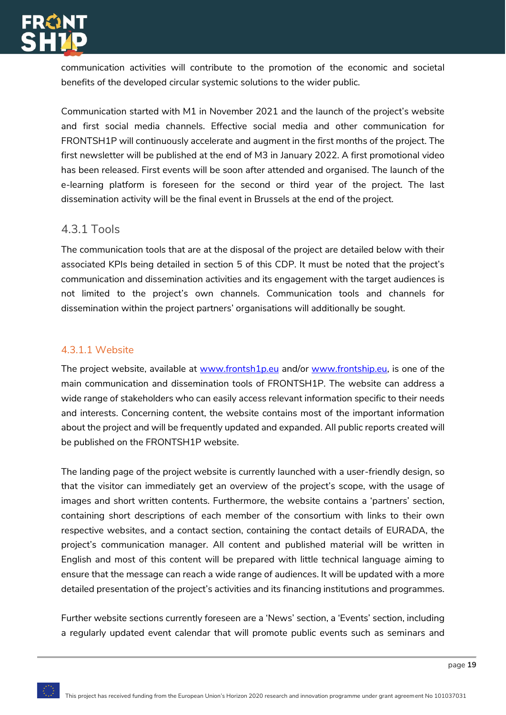

communication activities will contribute to the promotion of the economic and societal benefits of the developed circular systemic solutions to the wider public.

Communication started with M1 in November 2021 and the launch of the project's website and first social media channels. Effective social media and other communication for FRONTSH1P will continuously accelerate and augment in the first months of the project. The first newsletter will be published at the end of M3 in January 2022. A first promotional video has been released. First events will be soon after attended and organised. The launch of the e-learning platform is foreseen for the second or third year of the project. The last dissemination activity will be the final event in Brussels at the end of the project.

#### <span id="page-19-0"></span>4.3.1 Tools

The communication tools that are at the disposal of the project are detailed below with their associated KPIs being detailed in section 5 of this CDP. It must be noted that the project's communication and dissemination activities and its engagement with the target audiences is not limited to the project's own channels. Communication tools and channels for dissemination within the project partners' organisations will additionally be sought.

#### 4.3.1.1 Website

The project website, available at [www.frontsh1p.eu](http://www.frontsh1p.eu/) and/or [www.frontship.eu,](http://www.frontship.eu/) is one of the main communication and dissemination tools of FRONTSH1P. The website can address a wide range of stakeholders who can easily access relevant information specific to their needs and interests. Concerning content, the website contains most of the important information about the project and will be frequently updated and expanded. All public reports created will be published on the FRONTSH1P website.

The landing page of the project website is currently launched with a user-friendly design, so that the visitor can immediately get an overview of the project's scope, with the usage of images and short written contents. Furthermore, the website contains a 'partners' section, containing short descriptions of each member of the consortium with links to their own respective websites, and a contact section, containing the contact details of EURADA, the project's communication manager. All content and published material will be written in English and most of this content will be prepared with little technical language aiming to ensure that the message can reach a wide range of audiences. It will be updated with a more detailed presentation of the project's activities and its financing institutions and programmes.

Further website sections currently foreseen are a 'News' section, a 'Events' section, including a regularly updated event calendar that will promote public events such as seminars and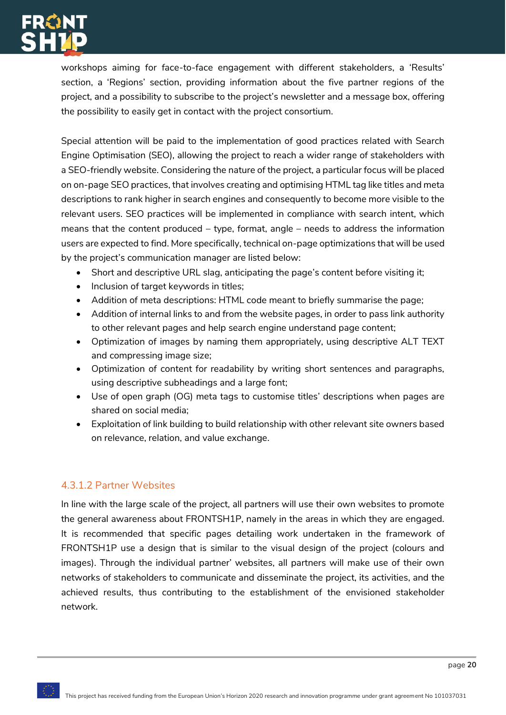

workshops aiming for face-to-face engagement with different stakeholders, a 'Results' section, a 'Regions' section, providing information about the five partner regions of the project, and a possibility to subscribe to the project's newsletter and a message box, offering the possibility to easily get in contact with the project consortium.

Special attention will be paid to the implementation of good practices related with Search Engine Optimisation (SEO), allowing the project to reach a wider range of stakeholders with a SEO-friendly website. Considering the nature of the project, a particular focus will be placed on on-page SEO practices, that involves creating and optimising HTML tag like titles and meta descriptions to rank higher in search engines and consequently to become more visible to the relevant users. SEO practices will be implemented in compliance with search intent, which means that the content produced – type, format, angle – needs to address the information users are expected to find. More specifically, technical on-page optimizations that will be used by the project's communication manager are listed below:

- Short and descriptive URL slag, anticipating the page's content before visiting it;
- Inclusion of target keywords in titles;
- Addition of meta descriptions: HTML code meant to briefly summarise the page;
- Addition of internal links to and from the website pages, in order to pass link authority to other relevant pages and help search engine understand page content;
- Optimization of images by naming them appropriately, using descriptive ALT TEXT and compressing image size;
- Optimization of content for readability by writing short sentences and paragraphs, using descriptive subheadings and a large font;
- Use of open graph (OG) meta tags to customise titles' descriptions when pages are shared on social media;
- Exploitation of link building to build relationship with other relevant site owners based on relevance, relation, and value exchange.

#### 4.3.1.2 Partner Websites

In line with the large scale of the project, all partners will use their own websites to promote the general awareness about FRONTSH1P, namely in the areas in which they are engaged. It is recommended that specific pages detailing work undertaken in the framework of FRONTSH1P use a design that is similar to the visual design of the project (colours and images). Through the individual partner' websites, all partners will make use of their own networks of stakeholders to communicate and disseminate the project, its activities, and the achieved results, thus contributing to the establishment of the envisioned stakeholder network.

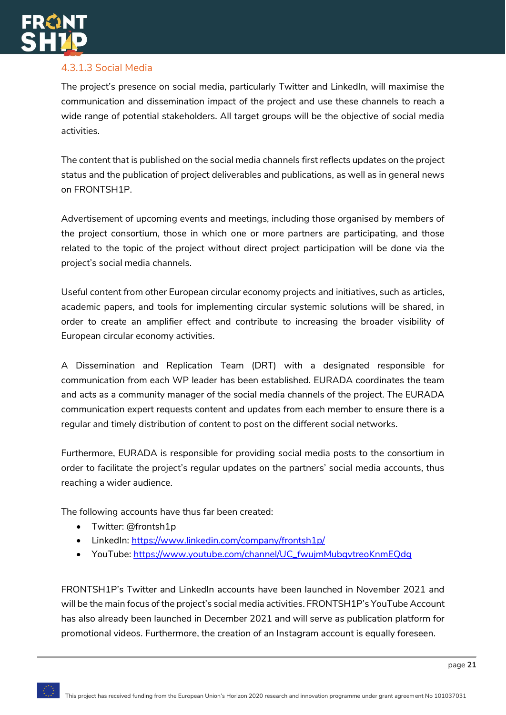

### 4.3.1.3 Social Media

The project's presence on social media, particularly Twitter and LinkedIn, will maximise the communication and dissemination impact of the project and use these channels to reach a wide range of potential stakeholders. All target groups will be the objective of social media activities.

The content that is published on the social media channels first reflects updates on the project status and the publication of project deliverables and publications, as well as in general news on FRONTSH1P.

Advertisement of upcoming events and meetings, including those organised by members of the project consortium, those in which one or more partners are participating, and those related to the topic of the project without direct project participation will be done via the project's social media channels.

Useful content from other European circular economy projects and initiatives, such as articles, academic papers, and tools for implementing circular systemic solutions will be shared, in order to create an amplifier effect and contribute to increasing the broader visibility of European circular economy activities.

A Dissemination and Replication Team (DRT) with a designated responsible for communication from each WP leader has been established. EURADA coordinates the team and acts as a community manager of the social media channels of the project. The EURADA communication expert requests content and updates from each member to ensure there is a regular and timely distribution of content to post on the different social networks.

Furthermore, EURADA is responsible for providing social media posts to the consortium in order to facilitate the project's regular updates on the partners' social media accounts, thus reaching a wider audience.

The following accounts have thus far been created:

- Twitter: @frontsh1p
- LinkedIn:<https://www.linkedin.com/company/frontsh1p/>
- YouTube: [https://www.youtube.com/channel/UC\\_fwujmMubqvtreoKnmEQdg](https://www.youtube.com/channel/UC_fwujmMubqvtreoKnmEQdg)

FRONTSH1P's Twitter and LinkedIn accounts have been launched in November 2021 and will be the main focus of the project's social media activities. FRONTSH1P's YouTube Account has also already been launched in December 2021 and will serve as publication platform for promotional videos. Furthermore, the creation of an Instagram account is equally foreseen.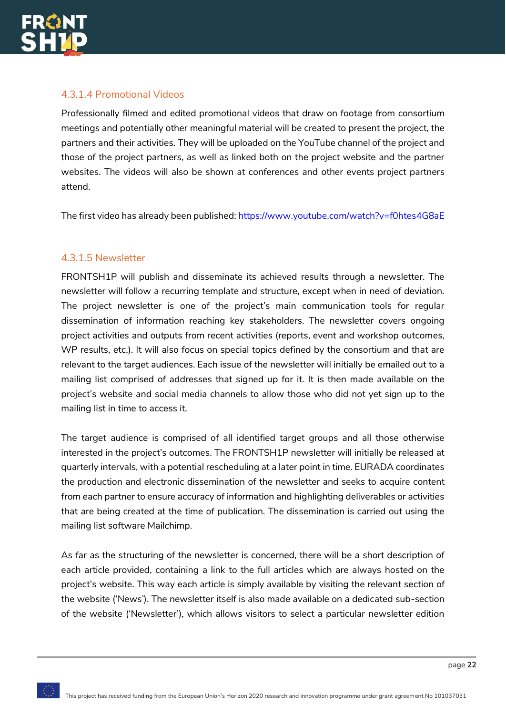

#### 4.3.1.4 Promotional Videos

Professionally filmed and edited promotional videos that draw on footage from consortium meetings and potentially other meaningful material will be created to present the project, the partners and their activities. They will be uploaded on the YouTube channel of the project and those of the project partners, as well as linked both on the project website and the partner websites. The videos will also be shown at conferences and other events project partners attend.

The first video has already been published[: https://www.youtube.com/watch?v=f0htes4G8aE](https://www.youtube.com/watch?v=f0htes4G8aE)

#### 4.3.1.5 Newsletter

FRONTSH1P will publish and disseminate its achieved results through a newsletter. The newsletter will follow a recurring template and structure, except when in need of deviation. The project newsletter is one of the project's main communication tools for regular dissemination of information reaching key stakeholders. The newsletter covers ongoing project activities and outputs from recent activities (reports, event and workshop outcomes, WP results, etc.). It will also focus on special topics defined by the consortium and that are relevant to the target audiences. Each issue of the newsletter will initially be emailed out to a mailing list comprised of addresses that signed up for it. It is then made available on the project's website and social media channels to allow those who did not yet sign up to the mailing list in time to access it.

The target audience is comprised of all identified target groups and all those otherwise interested in the project's outcomes. The FRONTSH1P newsletter will initially be released at quarterly intervals, with a potential rescheduling at a later point in time. EURADA coordinates the production and electronic dissemination of the newsletter and seeks to acquire content from each partner to ensure accuracy of information and highlighting deliverables or activities that are being created at the time of publication. The dissemination is carried out using the mailing list software Mailchimp.

As far as the structuring of the newsletter is concerned, there will be a short description of each article provided, containing a link to the full articles which are always hosted on the project's website. This way each article is simply available by visiting the relevant section of the website ('News'). The newsletter itself is also made available on a dedicated sub-section of the website ('Newsletter'), which allows visitors to select a particular newsletter edition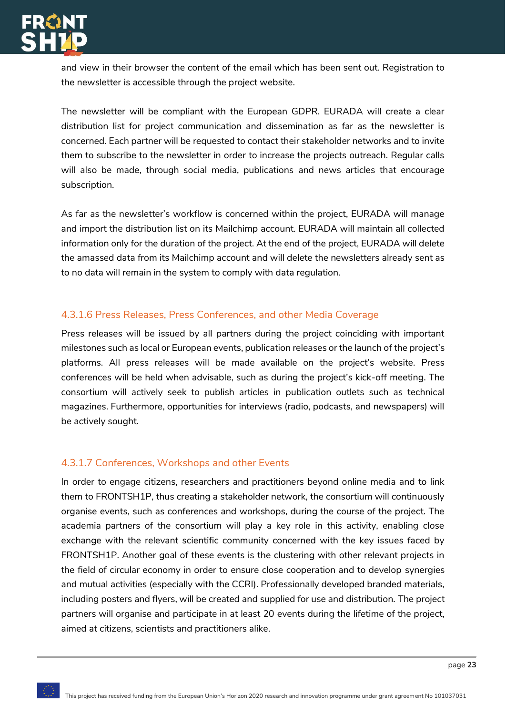

and view in their browser the content of the email which has been sent out. Registration to the newsletter is accessible through the project website.

The newsletter will be compliant with the European GDPR. EURADA will create a clear distribution list for project communication and dissemination as far as the newsletter is concerned. Each partner will be requested to contact their stakeholder networks and to invite them to subscribe to the newsletter in order to increase the projects outreach. Regular calls will also be made, through social media, publications and news articles that encourage subscription.

As far as the newsletter's workflow is concerned within the project, EURADA will manage and import the distribution list on its Mailchimp account. EURADA will maintain all collected information only for the duration of the project. At the end of the project, EURADA will delete the amassed data from its Mailchimp account and will delete the newsletters already sent as to no data will remain in the system to comply with data regulation.

#### 4.3.1.6 Press Releases, Press Conferences, and other Media Coverage

Press releases will be issued by all partners during the project coinciding with important milestones such as local or European events, publication releases or the launch of the project's platforms. All press releases will be made available on the project's website. Press conferences will be held when advisable, such as during the project's kick-off meeting. The consortium will actively seek to publish articles in publication outlets such as technical magazines. Furthermore, opportunities for interviews (radio, podcasts, and newspapers) will be actively sought.

#### 4.3.1.7 Conferences, Workshops and other Events

In order to engage citizens, researchers and practitioners beyond online media and to link them to FRONTSH1P, thus creating a stakeholder network, the consortium will continuously organise events, such as conferences and workshops, during the course of the project. The academia partners of the consortium will play a key role in this activity, enabling close exchange with the relevant scientific community concerned with the key issues faced by FRONTSH1P. Another goal of these events is the clustering with other relevant projects in the field of circular economy in order to ensure close cooperation and to develop synergies and mutual activities (especially with the CCRI). Professionally developed branded materials, including posters and flyers, will be created and supplied for use and distribution. The project partners will organise and participate in at least 20 events during the lifetime of the project, aimed at citizens, scientists and practitioners alike.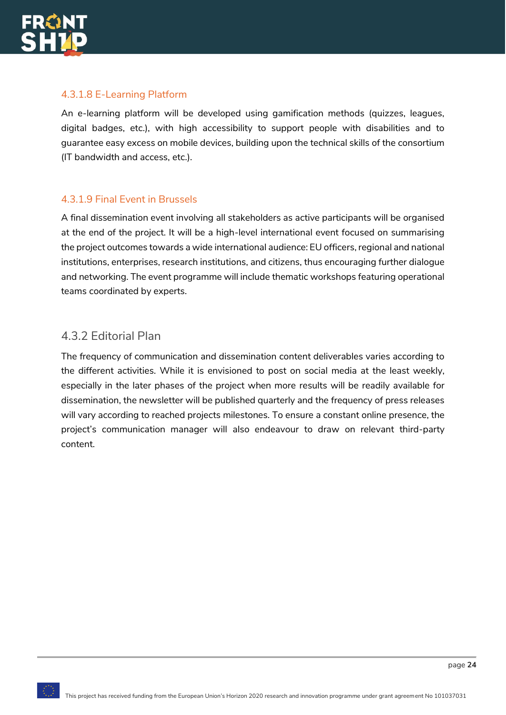

#### 4.3.1.8 E-Learning Platform

An e-learning platform will be developed using gamification methods (quizzes, leagues, digital badges, etc.), with high accessibility to support people with disabilities and to guarantee easy excess on mobile devices, building upon the technical skills of the consortium (IT bandwidth and access, etc.).

#### 4.3.1.9 Final Event in Brussels

A final dissemination event involving all stakeholders as active participants will be organised at the end of the project. It will be a high-level international event focused on summarising the project outcomes towards a wide international audience: EU officers, regional and national institutions, enterprises, research institutions, and citizens, thus encouraging further dialogue and networking. The event programme will include thematic workshops featuring operational teams coordinated by experts.

### <span id="page-24-0"></span>4.3.2 Editorial Plan

The frequency of communication and dissemination content deliverables varies according to the different activities. While it is envisioned to post on social media at the least weekly, especially in the later phases of the project when more results will be readily available for dissemination, the newsletter will be published quarterly and the frequency of press releases will vary according to reached projects milestones. To ensure a constant online presence, the project's communication manager will also endeavour to draw on relevant third-party content.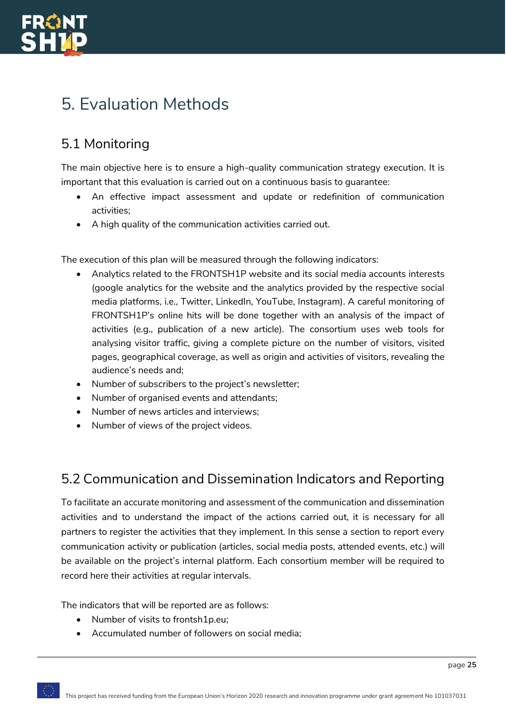

## <span id="page-25-0"></span>5. Evaluation Methods

## <span id="page-25-1"></span>5.1 Monitoring

The main objective here is to ensure a high-quality communication strategy execution. It is important that this evaluation is carried out on a continuous basis to guarantee:

- An effective impact assessment and update or redefinition of communication activities;
- A high quality of the communication activities carried out.

The execution of this plan will be measured through the following indicators:

- Analytics related to the FRONTSH1P website and its social media accounts interests (google analytics for the website and the analytics provided by the respective social media platforms, i.e., Twitter, LinkedIn, YouTube, Instagram). A careful monitoring of FRONTSH1P's online hits will be done together with an analysis of the impact of activities (e.g., publication of a new article). The consortium uses web tools for analysing visitor traffic, giving a complete picture on the number of visitors, visited pages, geographical coverage, as well as origin and activities of visitors, revealing the audience's needs and;
- Number of subscribers to the project's newsletter;
- Number of organised events and attendants;
- Number of news articles and interviews;
- Number of views of the project videos.

### <span id="page-25-2"></span>5.2 Communication and Dissemination Indicators and Reporting

To facilitate an accurate monitoring and assessment of the communication and dissemination activities and to understand the impact of the actions carried out, it is necessary for all partners to register the activities that they implement. In this sense a section to report every communication activity or publication (articles, social media posts, attended events, etc.) will be available on the project's internal platform. Each consortium member will be required to record here their activities at regular intervals.

The indicators that will be reported are as follows:

- Number of visits to frontsh1p.eu;
- Accumulated number of followers on social media;

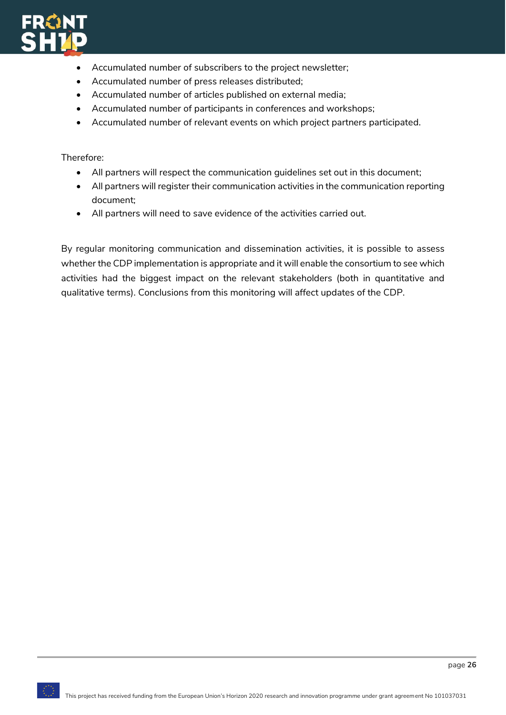

- Accumulated number of subscribers to the project newsletter;
- Accumulated number of press releases distributed;
- Accumulated number of articles published on external media;
- Accumulated number of participants in conferences and workshops;
- Accumulated number of relevant events on which project partners participated.

Therefore:

- All partners will respect the communication guidelines set out in this document;
- All partners will register their communication activities in the communication reporting document;
- All partners will need to save evidence of the activities carried out.

By regular monitoring communication and dissemination activities, it is possible to assess whether the CDP implementation is appropriate and it will enable the consortium to see which activities had the biggest impact on the relevant stakeholders (both in quantitative and qualitative terms). Conclusions from this monitoring will affect updates of the CDP.

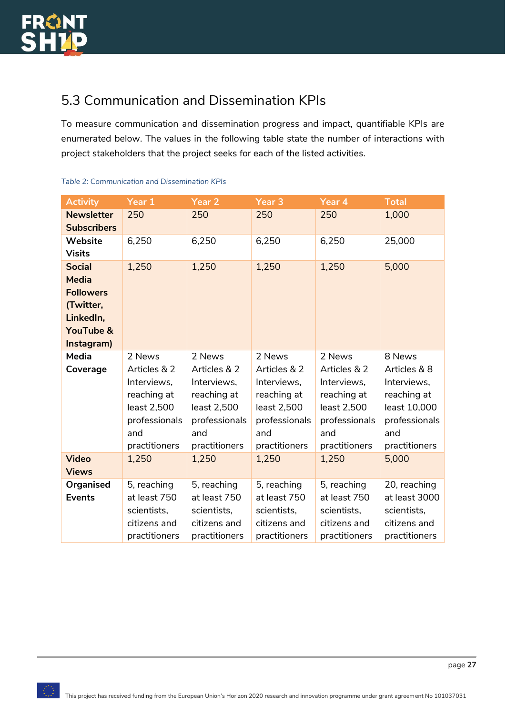## <span id="page-27-0"></span>5.3 Communication and Dissemination KPIs

To measure communication and dissemination progress and impact, quantifiable KPIs are enumerated below. The values in the following table state the number of interactions with project stakeholders that the project seeks for each of the listed activities.

| <b>Activity</b>      | Year 1        | Year <sub>2</sub> | Year <sub>3</sub> | Year 4        | <b>Total</b>  |
|----------------------|---------------|-------------------|-------------------|---------------|---------------|
| <b>Newsletter</b>    | 250           | 250               | 250               | 250           | 1,000         |
| <b>Subscribers</b>   |               |                   |                   |               |               |
| <b>Website</b>       | 6,250         | 6,250             | 6,250             | 6,250         | 25,000        |
| <b>Visits</b>        |               |                   |                   |               |               |
| <b>Social</b>        | 1,250         | 1,250             | 1,250             | 1,250         | 5,000         |
| <b>Media</b>         |               |                   |                   |               |               |
| <b>Followers</b>     |               |                   |                   |               |               |
| (Twitter,            |               |                   |                   |               |               |
| LinkedIn,            |               |                   |                   |               |               |
| <b>YouTube &amp;</b> |               |                   |                   |               |               |
| Instagram)           |               |                   |                   |               |               |
| <b>Media</b>         | 2 News        | 2 News            | 2 News            | 2 News        | 8 News        |
| Coverage             | Articles & 2  | Articles & 2      | Articles & 2      | Articles & 2  | Articles & 8  |
|                      | Interviews,   | Interviews,       | Interviews,       | Interviews,   | Interviews,   |
|                      | reaching at   | reaching at       | reaching at       | reaching at   | reaching at   |
|                      | least 2,500   | least 2,500       | least 2,500       | least 2,500   | least 10,000  |
|                      | professionals | professionals     | professionals     | professionals | professionals |
|                      | and           | and               | and               | and           | and           |
|                      | practitioners | practitioners     | practitioners     | practitioners | practitioners |
| <b>Video</b>         | 1,250         | 1,250             | 1,250             | 1,250         | 5,000         |
| <b>Views</b>         |               |                   |                   |               |               |
| <b>Organised</b>     | 5, reaching   | 5, reaching       | 5, reaching       | 5, reaching   | 20, reaching  |
| <b>Events</b>        | at least 750  | at least 750      | at least 750      | at least 750  | at least 3000 |
|                      | scientists,   | scientists,       | scientists,       | scientists,   | scientists,   |
|                      | citizens and  | citizens and      | citizens and      | citizens and  | citizens and  |
|                      | practitioners | practitioners     | practitioners     | practitioners | practitioners |

#### <span id="page-27-1"></span>*Table 2: Communication and Dissemination KPIs*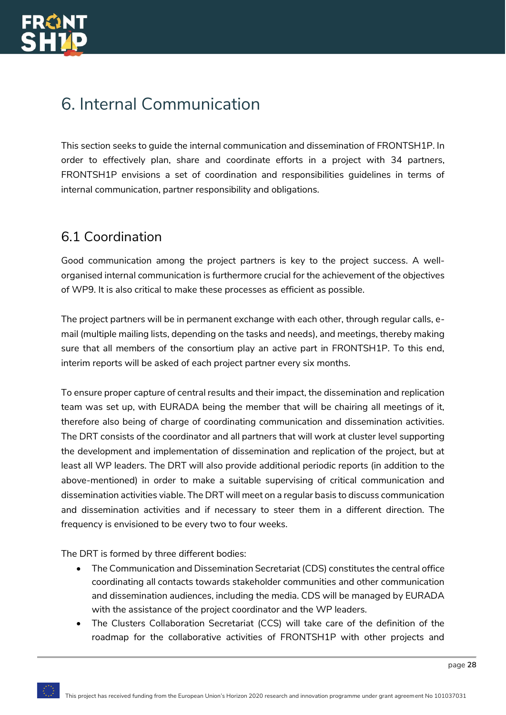# <span id="page-28-0"></span>6. Internal Communication

This section seeks to guide the internal communication and dissemination of FRONTSH1P. In order to effectively plan, share and coordinate efforts in a project with 34 partners, FRONTSH1P envisions a set of coordination and responsibilities guidelines in terms of internal communication, partner responsibility and obligations.

### <span id="page-28-1"></span>6.1 Coordination

Good communication among the project partners is key to the project success. A wellorganised internal communication is furthermore crucial for the achievement of the objectives of WP9. It is also critical to make these processes as efficient as possible.

The project partners will be in permanent exchange with each other, through regular calls, email (multiple mailing lists, depending on the tasks and needs), and meetings, thereby making sure that all members of the consortium play an active part in FRONTSH1P. To this end, interim reports will be asked of each project partner every six months.

To ensure proper capture of central results and their impact, the dissemination and replication team was set up, with EURADA being the member that will be chairing all meetings of it, therefore also being of charge of coordinating communication and dissemination activities. The DRT consists of the coordinator and all partners that will work at cluster level supporting the development and implementation of dissemination and replication of the project, but at least all WP leaders. The DRT will also provide additional periodic reports (in addition to the above-mentioned) in order to make a suitable supervising of critical communication and dissemination activities viable. The DRT will meet on a regular basis to discuss communication and dissemination activities and if necessary to steer them in a different direction. The frequency is envisioned to be every two to four weeks.

The DRT is formed by three different bodies:

- The Communication and Dissemination Secretariat (CDS) constitutes the central office coordinating all contacts towards stakeholder communities and other communication and dissemination audiences, including the media. CDS will be managed by EURADA with the assistance of the project coordinator and the WP leaders.
- The Clusters Collaboration Secretariat (CCS) will take care of the definition of the roadmap for the collaborative activities of FRONTSH1P with other projects and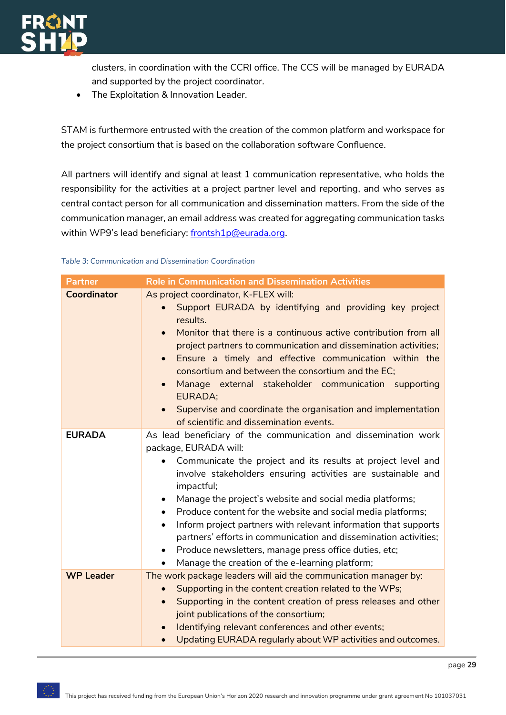

clusters, in coordination with the CCRI office. The CCS will be managed by EURADA and supported by the project coordinator.

• The Exploitation & Innovation Leader.

STAM is furthermore entrusted with the creation of the common platform and workspace for the project consortium that is based on the collaboration software Confluence.

All partners will identify and signal at least 1 communication representative, who holds the responsibility for the activities at a project partner level and reporting, and who serves as central contact person for all communication and dissemination matters. From the side of the communication manager, an email address was created for aggregating communication tasks within WP9's lead beneficiary: [frontsh1p@eurada.org.](mailto:frontsh1p@eurada.org)

#### <span id="page-29-0"></span>*Table 3: Communication and Dissemination Coordination*

| <b>Partner</b>     | <b>Role in Communication and Dissemination Activities</b>                                                                                                                                                                                                                                                                                                                                                                                                                                                                                                                                                                                                                             |
|--------------------|---------------------------------------------------------------------------------------------------------------------------------------------------------------------------------------------------------------------------------------------------------------------------------------------------------------------------------------------------------------------------------------------------------------------------------------------------------------------------------------------------------------------------------------------------------------------------------------------------------------------------------------------------------------------------------------|
| <b>Coordinator</b> | As project coordinator, K-FLEX will:<br>Support EURADA by identifying and providing key project<br>results.<br>Monitor that there is a continuous active contribution from all<br>$\bullet$<br>project partners to communication and dissemination activities;<br>Ensure a timely and effective communication within the<br>$\bullet$<br>consortium and between the consortium and the EC;<br>Manage external stakeholder communication supporting<br>$\bullet$<br><b>EURADA;</b><br>Supervise and coordinate the organisation and implementation<br>$\bullet$<br>of scientific and dissemination events.                                                                             |
| <b>EURADA</b>      | As lead beneficiary of the communication and dissemination work<br>package, EURADA will:<br>Communicate the project and its results at project level and<br>involve stakeholders ensuring activities are sustainable and<br>impactful;<br>Manage the project's website and social media platforms;<br>$\bullet$<br>Produce content for the website and social media platforms;<br>$\bullet$<br>Inform project partners with relevant information that supports<br>$\bullet$<br>partners' efforts in communication and dissemination activities;<br>Produce newsletters, manage press office duties, etc;<br>$\bullet$<br>Manage the creation of the e-learning platform;<br>$\bullet$ |
| <b>WP Leader</b>   | The work package leaders will aid the communication manager by:<br>Supporting in the content creation related to the WPs;<br>$\bullet$<br>Supporting in the content creation of press releases and other<br>$\bullet$<br>joint publications of the consortium;<br>Identifying relevant conferences and other events;<br>$\bullet$<br>Updating EURADA regularly about WP activities and outcomes.<br>$\bullet$                                                                                                                                                                                                                                                                         |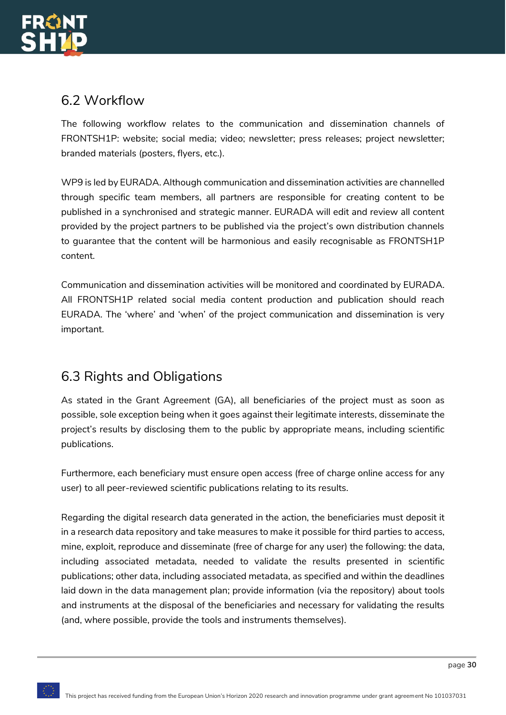

### <span id="page-30-0"></span>6.2 Workflow

The following workflow relates to the communication and dissemination channels of FRONTSH1P: website; social media; video; newsletter; press releases; project newsletter; branded materials (posters, flyers, etc.).

WP9 is led by EURADA. Although communication and dissemination activities are channelled through specific team members, all partners are responsible for creating content to be published in a synchronised and strategic manner. EURADA will edit and review all content provided by the project partners to be published via the project's own distribution channels to guarantee that the content will be harmonious and easily recognisable as FRONTSH1P content.

Communication and dissemination activities will be monitored and coordinated by EURADA. All FRONTSH1P related social media content production and publication should reach EURADA. The 'where' and 'when' of the project communication and dissemination is very important.

### <span id="page-30-1"></span>6.3 Rights and Obligations

As stated in the Grant Agreement (GA), all beneficiaries of the project must as soon as possible, sole exception being when it goes against their legitimate interests, disseminate the project's results by disclosing them to the public by appropriate means, including scientific publications.

Furthermore, each beneficiary must ensure open access (free of charge online access for any user) to all peer-reviewed scientific publications relating to its results.

Regarding the digital research data generated in the action, the beneficiaries must deposit it in a research data repository and take measures to make it possible for third parties to access, mine, exploit, reproduce and disseminate (free of charge for any user) the following: the data, including associated metadata, needed to validate the results presented in scientific publications; other data, including associated metadata, as specified and within the deadlines laid down in the data management plan; provide information (via the repository) about tools and instruments at the disposal of the beneficiaries and necessary for validating the results (and, where possible, provide the tools and instruments themselves).

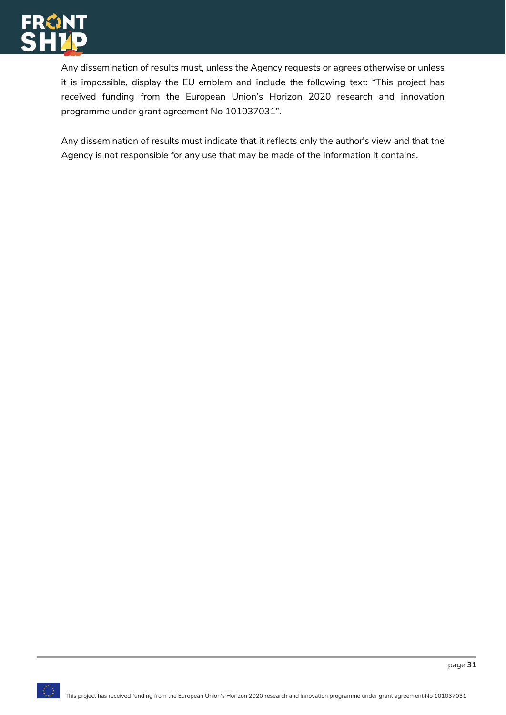

Any dissemination of results must, unless the Agency requests or agrees otherwise or unless it is impossible, display the EU emblem and include the following text: "This project has received funding from the European Union's Horizon 2020 research and innovation programme under grant agreement No 101037031".

Any dissemination of results must indicate that it reflects only the author's view and that the Agency is not responsible for any use that may be made of the information it contains.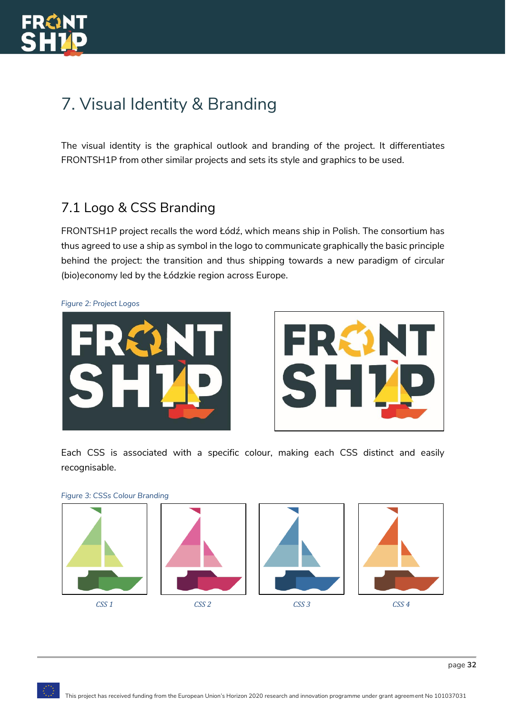# <span id="page-32-0"></span>7. Visual Identity & Branding

The visual identity is the graphical outlook and branding of the project. It differentiates FRONTSH1P from other similar projects and sets its style and graphics to be used.

## <span id="page-32-1"></span>7.1 Logo & CSS Branding

FRONTSH1P project recalls the word Łódź, which means ship in Polish. The consortium has thus agreed to use a ship as symbol in the logo to communicate graphically the basic principle behind the project: the transition and thus shipping towards a new paradigm of circular (bio)economy led by the Łódzkie region across Europe.

<span id="page-32-2"></span>*Figure 2: Project Logos*





Each CSS is associated with a specific colour, making each CSS distinct and easily recognisable.



<span id="page-32-3"></span>*Figure 3: CSSs Colour Branding*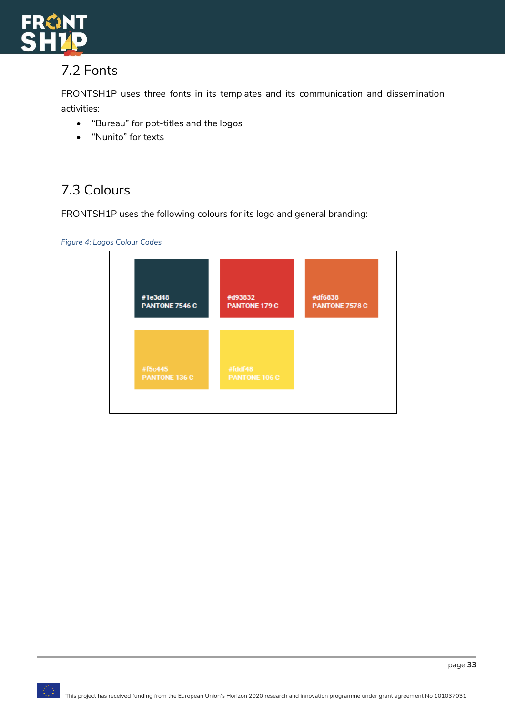

## <span id="page-33-0"></span>7.2 Fonts

FRONTSH1P uses three fonts in its templates and its communication and dissemination activities:

- "Bureau" for ppt-titles and the logos
- "Nunito" for texts

## <span id="page-33-1"></span>7.3 Colours

FRONTSH1P uses the following colours for its logo and general branding:

<span id="page-33-2"></span>*Figure 4: Logos Colour Codes*

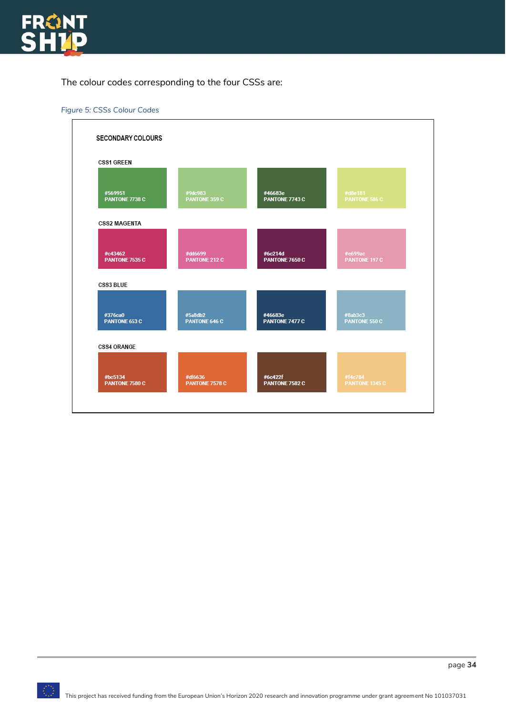

The colour codes corresponding to the four CSSs are:

<span id="page-34-0"></span>